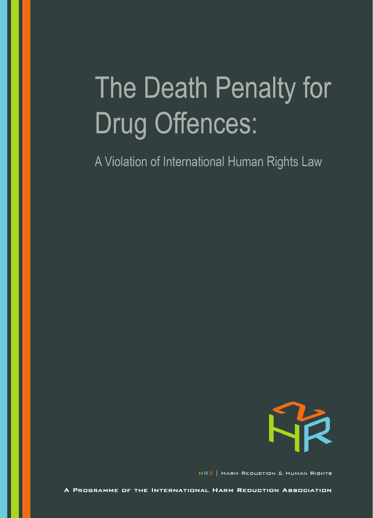# The Death Penalty for **Drug Offences:**

A Violation of International Human Rights Law



HR2 | HARM REDUCTION & HUMAN RIGHTS

A PROGRAMME OF THE INTERNATIONAL HARM REDUCTION ASSOCIATION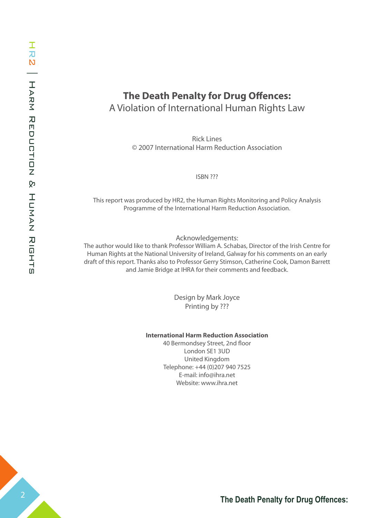# **The Death Penalty for Drug Offences:** A Violation of International Human Rights Law

Rick Lines © 2007 International Harm Reduction Association

ISBN ???

This report was produced by HR2, the Human Rights Monitoring and Policy Analysis Programme of the International Harm Reduction Association.

#### Acknowledgements:

The author would like to thank Professor William A. Schabas, Director of the Irish Centre for Human Rights at the National University of Ireland, Galway for his comments on an early draft of this report. Thanks also to Professor Gerry Stimson, Catherine Cook, Damon Barrett and Jamie Bridge at IHRA for their comments and feedback.

> Design by Mark Joyce Printing by ???

#### **International Harm Reduction Association**

40 Bermondsey Street, 2nd floor London SE1 3UD United Kingdom Telephone: +44 (0)207 940 7525 E-mail: info@ihra.net Website: www.ihra.net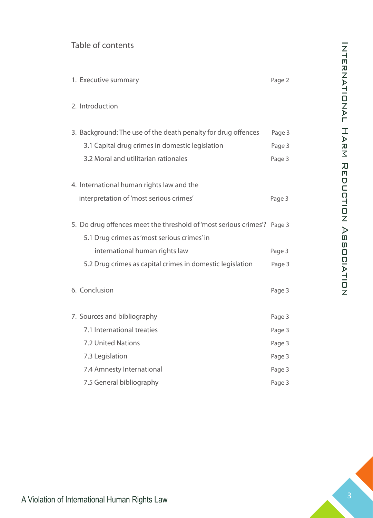## Table of contents

| 1. Executive summary                                                    | Page 2 |
|-------------------------------------------------------------------------|--------|
| 2. Introduction                                                         |        |
| 3. Background: The use of the death penalty for drug offences           | Page 3 |
| 3.1 Capital drug crimes in domestic legislation                         | Page 3 |
| 3.2 Moral and utilitarian rationales                                    | Page 3 |
| 4. International human rights law and the                               |        |
| interpretation of 'most serious crimes'                                 | Page 3 |
| 5. Do drug offences meet the threshold of 'most serious crimes'? Page 3 |        |
| 5.1 Drug crimes as 'most serious crimes' in                             |        |
| international human rights law                                          | Page 3 |
| 5.2 Drug crimes as capital crimes in domestic legislation               | Page 3 |
| 6. Conclusion                                                           | Page 3 |
| 7. Sources and bibliography                                             | Page 3 |
| 7.1 International treaties                                              | Page 3 |
| 7.2 United Nations                                                      | Page 3 |
| 7.3 Legislation                                                         | Page 3 |
| 7.4 Amnesty International                                               | Page 3 |
| 7.5 General bibliography                                                | Page 3 |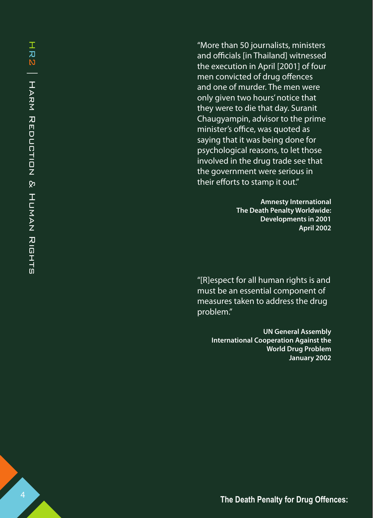"More than 50 journalists, ministers and officials [in Thailand] witnessed the execution in April [ 2001] of four men convicted of drug offences and one of murder. The men were only given two hours' notice that they were to die that day. Suranit Chaugyampin, advisor to the prime minister's office, was quoted as saying that it was being done for psychological reasons, to let those involved in the drug trade see that the government were serious in their efforts to stamp it out."

> **Amnesty International The Death Penalty Worldwide: Developments in 2001 April 2002**

"[R]espect for all human rights is and must be an essential component of measures taken to address the drug problem."

> **UN General Assembly International Cooperation Against the World Drug Problem January 2002**

**The Death Penalty for Drug Offences:**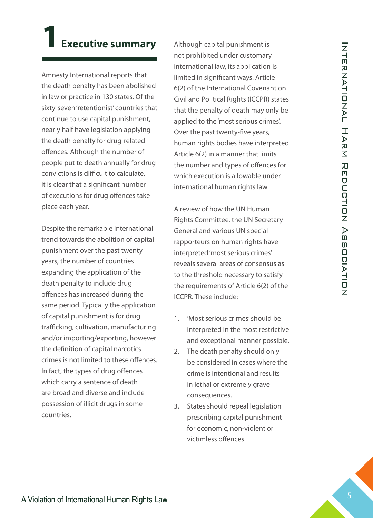# **1 Executive summary**

Amnesty International reports that the death penalty has been abolished in law or practice in 130 states. Of the sixty-seven 'retentionist' countries that continue to use capital punishment, nearly half have legislation applying the death penalty for drug-related offences. Although the number of people put to death annually for drug convictions is difficult to calculate, it is clear that a significant number of executions for drug offences take place each year.

Despite the remarkable international trend towards the abolition of capital punishment over the past twenty years, the number of countries expanding the application of the death penalty to include drug offences has increased during the same period. Typically the application of capital punishment is for drug trafficking, cultivation, manufacturing and/or importing/exporting, however the definition of capital narcotics crimes is not limited to these offences. In fact, the types of drug offences which carry a sentence of death are broad and diverse and include possession of illicit drugs in some countries.

Although capital punishment is not prohibited under customary international law, its application is limited in significant ways. Article 6(2) of the International Covenant on Civil and Political Rights (ICCPR) states that the penalty of death may only be applied to the 'most serious crimes'. Over the past twenty-five years, human rights bodies have interpreted Article 6(2) in a manner that limits the number and types of offences for which execution is allowable under international human rights law.

A review of how the UN Human Rights Committee, the UN Secretary-General and various UN special rapporteurs on human rights have interpreted 'most serious crimes' reveals several areas of consensus as to the threshold necessary to satisfy the requirements of Article 6(2) of the ICCPR. These include:

- 1. 'Most serious crimes' should be interpreted in the most restrictive and exceptional manner possible.
- 2. The death penalty should only be considered in cases where the crime is intentional and results in lethal or extremely grave consequences.
- States should repeal legislation 3. prescribing capital punishment for economic, non-violent or victimless offences.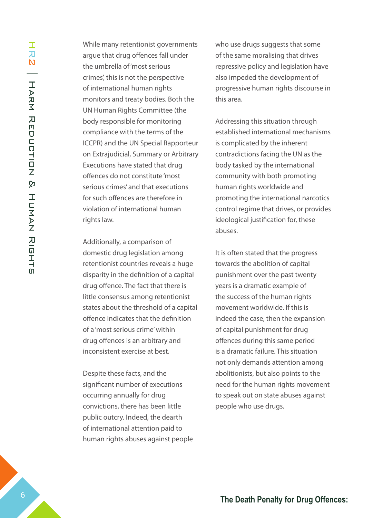While many retentionist governments argue that drug offences fall under the umbrella of 'most serious crimes', this is not the perspective of international human rights monitors and treaty bodies. Both the UN Human Rights Committee (the body responsible for monitoring compliance with the terms of the ICCPR) and the UN Special Rapporteur on Extrajudicial, Summary or Arbitrary Executions have stated that drug offences do not constitute 'most serious crimes' and that executions for such offences are therefore in violation of international human rights law.

Additionally, a comparison of domestic drug legislation among retentionist countries reveals a huge disparity in the definition of a capital drug offence. The fact that there is little consensus among retentionist states about the threshold of a capital offence indicates that the definition of a 'most serious crime' within drug offences is an arbitrary and inconsistent exercise at best.

Despite these facts, and the significant number of executions occurring annually for drug convictions, there has been little public outcry. Indeed, the dearth of international attention paid to human rights abuses against people who use drugs suggests that some of the same moralising that drives repressive policy and legislation have also impeded the development of progressive human rights discourse in this area.

Addressing this situation through established international mechanisms is complicated by the inherent contradictions facing the UN as the body tasked by the international community with both promoting human rights worldwide and promoting the international narcotics control regime that drives, or provides ideological justification for, these abuses.

It is often stated that the progress towards the abolition of capital punishment over the past twenty years is a dramatic example of the success of the human rights movement worldwide. If this is indeed the case, then the expansion of capital punishment for drug offences during this same period is a dramatic failure. This situation not only demands attention among abolitionists, but also points to the need for the human rights movement to speak out on state abuses against people who use drugs.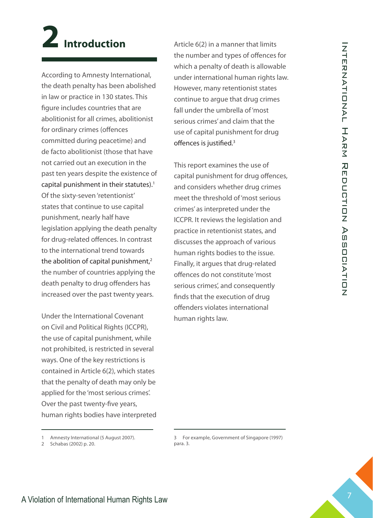# **2 Introduction**

According to Amnesty International, the death penalty has been abolished in law or practice in 130 states. This figure includes countries that are abolitionist for all crimes, abolitionist for ordinary crimes (offences committed during peacetime) and de facto abolitionist (those that have not carried out an execution in the past ten years despite the existence of capital punishment in their statutes).<sup>1</sup> Of the sixty-seven 'retentionist' states that continue to use capital punishment, nearly half have legislation applying the death penalty for drug-related offences. In contrast to the international trend towards the abolition of capital punishment,<sup>2</sup> the number of countries applying the death penalty to drug offenders has increased over the past twenty years.

Under the International Covenant on Civil and Political Rights (ICCPR), the use of capital punishment, while not prohibited, is restricted in several ways. One of the key restrictions is contained in Article 6(2), which states that the penalty of death may only be applied for the 'most serious crimes'. Over the past twenty-five years, human rights bodies have interpreted Article 6(2) in a manner that limits the number and types of offences for which a penalty of death is allowable under international human rights law. However, many retentionist states continue to argue that drug crimes fall under the umbrella of 'most serious crimes' and claim that the use of capital punishment for drug offences is justified.<sup>3</sup>

This report examines the use of capital punishment for drug offences, and considers whether drug crimes meet the threshold of 'most serious crimes' as interpreted under the ICCPR. It reviews the legislation and practice in retentionist states, and discusses the approach of various human rights bodies to the issue. Finally, it argues that drug-related offences do not constitute 'most serious crimes', and consequently finds that the execution of drug offenders violates international human rights law.

<sup>1</sup> Amnesty International (5 August 2007).

<sup>2</sup> Schabas (2002) p. 20.

<sup>3</sup> For example, Government of Singapore (1997) para. 3.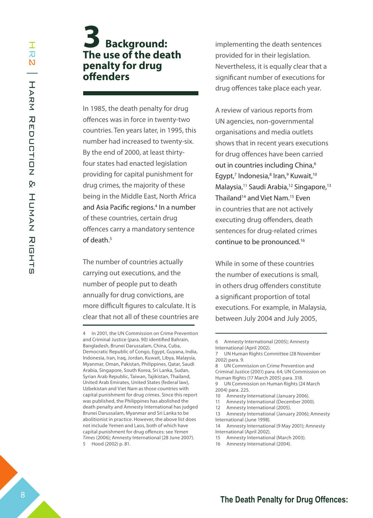# **3 Background: The use of the death penalty for drug offenders**

In 1985, the death penalty for drug offences was in force in twenty-two countries. Ten years later, in 1995, this number had increased to twenty-six. By the end of 2000, at least thirtyfour states had enacted legislation providing for capital punishment for drug crimes, the majority of these being in the Middle East, North Africa and Asia Pacific regions.<sup>4</sup> In a number of these countries, certain drug offences carry a mandatory sentence of death.<sup>5</sup>

The number of countries actually carrying out executions, and the number of people put to death annually for drug convictions, are more difficult figures to calculate. It is clear that not all of these countries are implementing the death sentences provided for in their legislation. Nevertheless, it is equally clear that a significant number of executions for drug offences take place each year.

A review of various reports from UN agencies, non-governmental organisations and media outlets shows that in recent years executions for drug offences have been carried out in countries including China,<sup>6</sup> Egypt,<sup>7</sup> Indonesia,<sup>8</sup> Iran,<sup>9</sup> Kuwait,<sup>10</sup> Malaysia,<sup>11</sup> Saudi Arabia,<sup>12</sup> Singapore,<sup>13</sup> Thailand<sup>14</sup> and Viet Nam.<sup>15</sup> Even in countries that are not actively executing drug offenders, death sentences for drug-related crimes continue to be pronounced.16

While in some of these countries the number of executions is small, in others drug offenders constitute a significant proportion of total executions. For example, in Malaysia, between July 2004 and July 2005,

<sup>4</sup> In 2001, the UN Commission on Crime Prevention and Criminal Justice (para. 90) identified Bahrain, Bangladesh, Brunei Darussalam, China, Cuba, Democratic Republic of Congo, Egypt, Guyana, India, Indonesia, Iran, Iraq, Jordan, Kuwait, Libya, Malaysia, Myanmar, Oman, Pakistan, Philippines, Qatar, Saudi Arabia, Singapore, South Korea, Sri Lanka, Sudan, Syrian Arab Republic, Taiwan, Tajikistan, Thailand, United Arab Emirates, United States (federal law), Uzbekistan and Viet Nam as those countries with capital punishment for drug crimes. Since this report was published, the Philippines has abolished the death penalty and Amnesty International has judged Brunei Darussalam, Myanmar and Sri Lanka to be abolitionist in practice. However, the above list does not include Yemen and Laos, both of which have capital punishment for drug offences: see *Yemen Times* (2006); Amnesty International (28 June 2007). 5 Hood (2002) p. 81.

<sup>6</sup> Amnesty International (2005); Amnesty International (April 2002).

<sup>7</sup> UN Human Rights Committee (28 November 2002) para. 9.

UN Commission on Crime Prevention and Criminal Justice (2001) para. 64; UN Commission on Human Rights (17 March 2005) para. 318. 9 UN Commission on Human Rights (24 March

<sup>2004)</sup> para. 225.

<sup>10</sup> Amnesty International (January 2006).

<sup>11</sup> Amnesty International (December 2000).

<sup>12</sup> Amnesty International (2005). 13 Amnesty International (January 2006); Amnesty

International (June 1998).

<sup>14</sup> Amnesty International (9 May 2001); Amnesty International (April 2002).

<sup>15</sup> Amnesty International (March 2003).

<sup>16</sup> Amnesty International (2004).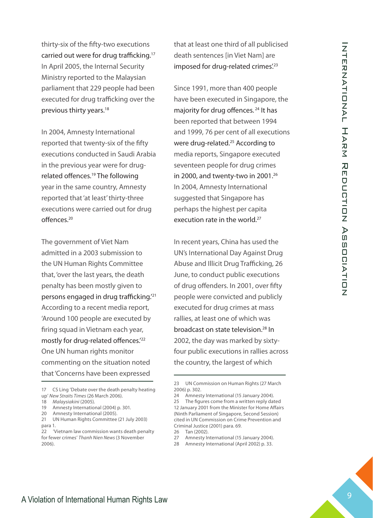thirty-six of the fifty-two executions carried out were for drug trafficking.17 In April 2005, the Internal Security Ministry reported to the Malaysian parliament that 229 people had been executed for drug trafficking over the previous thirty years.<sup>18</sup>

In 2004, Amnesty International reported that twenty-six of the fifty executions conducted in Saudi Arabia in the previous year were for drugrelated offences.19 The following year in the same country, Amnesty reported that 'at least' thirty-three executions were carried out for drug offences.20

The government of Viet Nam admitted in a 2003 submission to the UN Human Rights Committee that, 'over the last years, the death penalty has been mostly given to persons engaged in drug trafficking.'21 According to a recent media report, 'Around 100 people are executed by firing squad in Vietnam each year, mostly for drug-related offences.'22 One UN human rights monitor commenting on the situation noted that 'Concerns have been expressed

- 19 Amnesty International (2004) p. 301.
- 20 Amnesty International (2005).

that at least one third of all publicised death sentences [in Viet Nam] are imposed for drug-related crimes.<sup>23</sup>

Since 1991, more than 400 people have been executed in Singapore, the majority for drug offences.<sup>24</sup> It has been reported that between 1994 and 1999, 76 per cent of all executions were drug-related.<sup>25</sup> According to media reports, Singapore executed seventeen people for drug crimes in 2000, and twenty-two in 2001.<sup>26</sup> In 2004, Amnesty International suggested that Singapore has perhaps the highest per capita execution rate in the world.<sup>27</sup>

In recent years, China has used the UN's International Day Against Drug Abuse and Illicit Drug Trafficking, 26 June, to conduct public executions of drug offenders. In 2001, over fifty people were convicted and publicly executed for drug crimes at mass rallies, at least one of which was broadcast on state television.<sup>28</sup> In 2002, the day was marked by sixtyfour public executions in rallies across the country, the largest of which

- 27 Amnesty International (15 January 2004).
- 28 Amnesty International (April 2002) p. 33.

<sup>17</sup> CS Ling 'Debate over the death penalty heating up' *New Straits Times* (26 March 2006).

<sup>18</sup> *Malaysiakini* (2005).

<sup>21</sup> UN Human Rights Committee (21 July 2003) para 1.

<sup>22 &#</sup>x27;Vietnam law commission wants death penalty for fewer crimes' *Thanh Nien News* (3 November 2006).

<sup>23</sup> UN Commission on Human Rights (27 March 2006) p. 302.

<sup>24</sup> Amnesty International (15 January 2004).

<sup>25</sup> The figures come from a written reply dated 12 January 2001 from the Minister for Home Affairs (Ninth Parliament of Singapore, Second Session) cited in UN Commission on Crime Prevention and Criminal Justice (2001) para. 69.

<sup>26</sup> Tan (2002).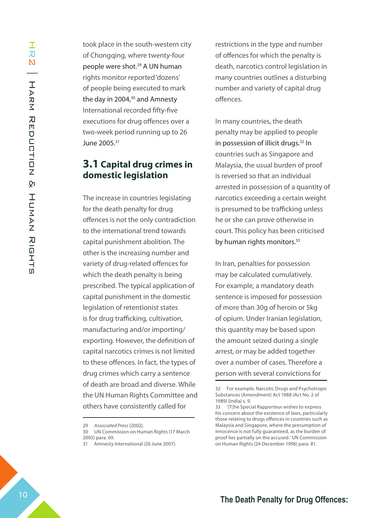took place in the south-western city of Chongqing, where twenty-four people were shot.<sup>29</sup> A UN human rights monitor reported 'dozens' of people being executed to mark the day in 2004,<sup>30</sup> and Amnesty International recorded fifty-five executions for drug offences over a two-week period running up to 26 June 2005.31

## **3.1 Capital drug crimes in domestic legislation**

The increase in countries legislating for the death penalty for drug offences is not the only contradiction to the international trend towards capital punishment abolition. The other is the increasing number and variety of drug-related offences for which the death penalty is being prescribed. The typical application of capital punishment in the domestic legislation of retentionist states is for drug trafficking, cultivation, manufacturing and/or importing/ exporting. However, the definition of capital narcotics crimes is not limited to these offences. In fact, the types of drug crimes which carry a sentence of death are broad and diverse. While the UN Human Rights Committee and others have consistently called for

restrictions in the type and number of offences for which the penalty is death, narcotics control legislation in many countries outlines a disturbing number and variety of capital drug offences.

In many countries, the death penalty may be applied to people in possession of illicit drugs.<sup>32</sup> In countries such as Singapore and Malaysia, the usual burden of proof is reversed so that an individual arrested in possession of a quantity of narcotics exceeding a certain weight is presumed to be trafficking unless he or she can prove otherwise in court. This policy has been criticised by human rights monitors.<sup>33</sup>

In Iran, penalties for possession may be calculated cumulatively. For example, a mandatory death sentence is imposed for possession of more than 30g of heroin or 5kg of opium. Under Iranian legislation, this quantity may be based upon the amount seized during a single arrest, or may be added together over a number of cases. Therefore a person with several convictions for

<sup>29</sup> *Associated Press* (2002).

<sup>30</sup> UN Commission on Human Rights (17 March 2005) para. 69.

<sup>31</sup> Amnesty International (26 June 2007).

<sup>32</sup> For example, Narcotic Drugs and Psychotropic Substances (Amendment) Act 1988 (Act No. 2 of 1989) (India) s. 9.

<sup>33 &#</sup>x27;[T]he Special Rapporteur wishes to express his concern about the existence of laws, particularly those relating to drugs offences in countries such as Malaysia and Singapore, where the presumption of innocence is not fully guaranteed, as the burden of proof lies partially on the accused.' UN Commission on Human Rights (24 December 1996) para. 81.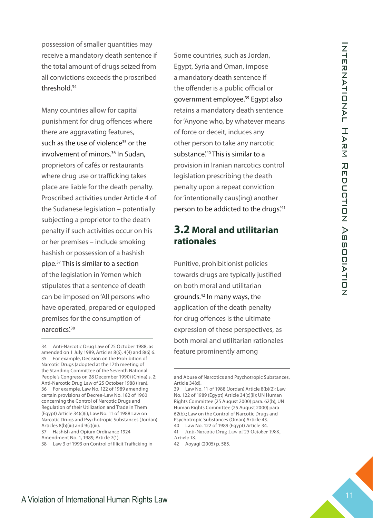possession of smaller quantities may receive a mandatory death sentence if the total amount of drugs seized from all convictions exceeds the proscribed threshold.34

**The Death Penalty death Penalty Some countries, such as Joseph Control of the total announce of the studients of the proportional Control of the Control of The Death Control of the Control of the Control of the Control of** Many countries allow for capital punishment for drug offences where there are aggravating features, such as the use of violence<sup>35</sup> or the involvement of minors.<sup>36</sup> In Sudan, proprietors of cafés or restaurants where drug use or trafficking takes place are liable for the death penalty. Proscribed activities under Article 4 of the Sudanese legislation – potentially subjecting a proprietor to the death penalty if such activities occur on his or her premises – include smoking hashish or possession of a hashish pipe.37 This is similar to a section of the legislation in Yemen which stipulates that a sentence of death can be imposed on 'All persons who have operated, prepared or equipped premises for the consumption of narcotics'.38

34 Anti-Narcotic Drug Law of 25 October 1988, as amended on 1 July 1989, Articles 8(6), 4(4) and 8(6) 6. 35 For example, Decision on the Prohibition of Narcotic Drugs (adopted at the 17th meeting of the Standing Committee of the Seventh National People's Congress on 28 December 1990) (China) s. 2; Anti-Narcotic Drug Law of 25 October 1988 (Iran). 36 For example, Law No. 122 of 1989 amending certain provisions of Decree-Law No. 182 of 1960 concerning the Control of Narcotic Drugs and Regulation of their Utilization and Trade in Them (Egypt) Article 34(c)(i); Law No. 11 of 1988 Law on Narcotic Drugs and Psychotropic Substances (Jordan) Articles 8(b)(iii) and 9(c)(iii).

37 Hashish and Opium Ordinance 1924

Some countries, such as Jordan, Egypt, Syria and Oman, impose a mandatory death sentence if the offender is a public official or government employee.<sup>39</sup> Egypt also retains a mandatory death sentence for 'Anyone who, by whatever means of force or deceit, induces any other person to take any narcotic substance<sup>', 40</sup> This is similar to a provision in Iranian narcotics control legislation prescribing the death penalty upon a repeat conviction for 'intentionally caus(ing) another person to be addicted to the drugs.<sup>41</sup>

## **3.2 Moral and utilitarian rationales**

Punitive, prohibitionist policies towards drugs are typically justified on both moral and utilitarian grounds.42 In many ways, the application of the death penalty for drug offences is the ultimate expression of these perspectives, as both moral and utilitarian rationales feature prominently among

Amendment No. 1, 1989, Article 7(1).

<sup>38</sup> Law 3 of 1993 on Control of Illicit Trafficking in

and Abuse of Narcotics and Psychotropic Substances, Article 34(d).

<sup>39</sup> Law No. 11 of 1988 (Jordan) Article 8(b)(2); Law No. 122 of 1989 (Egypt) Article 34(c)(ii); UN Human Rights Committee (25 August 2000) para. 62(b); UN Human Rights Committee (25 August 2000) para 62(b).; Law on the Control of Narcotic Drugs and Psychotropic Substances (Oman) Article 43.

<sup>40</sup> Law No. 122 of 1989 (Egypt) Article 34. 41 Anti-Narcotic Drug Law of 25 October 1988, Article 18.

<sup>42</sup> Aoyagi (2005) p. 585.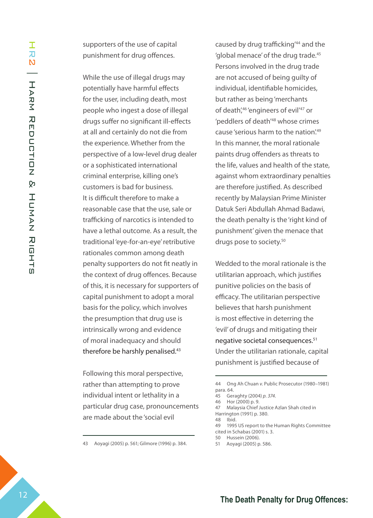supporters of the use of capital punishment for drug offences.

While the use of illegal drugs may potentially have harmful effects for the user, including death, most people who ingest a dose of illegal drugs suffer no significant ill-effects at all and certainly do not die from the experience. Whether from the perspective of a low-level drug dealer or a sophisticated international criminal enterprise, killing one's customers is bad for business. It is difficult therefore to make a reasonable case that the use, sale or trafficking of narcotics is intended to have a lethal outcome. As a result, the traditional 'eye-for-an-eye' retributive rationales common among death penalty supporters do not fit neatly in the context of drug offences. Because of this, it is necessary for supporters of capital punishment to adopt a moral basis for the policy, which involves the presumption that drug use is intrinsically wrong and evidence of moral inadequacy and should therefore be harshly penalised.<sup>43</sup>

Following this moral perspective, rather than attempting to prove individual intent or lethality in a particular drug case, pronouncements are made about the 'social evil

43 Aoyagi (2005) p. 561; Gilmore (1996) p. 384.

caused by drug trafficking'44 and the 'global menace' of the drug trade.<sup>45</sup> Persons involved in the drug trade are not accused of being guilty of individual, identifiable homicides, but rather as being 'merchants of death',<sup>46</sup> 'engineers of evil<sup>'47</sup> or 'peddlers of death<sup>'48</sup> whose crimes cause 'serious harm to the nation'.<sup>49</sup> In this manner, the moral rationale paints drug offenders as threats to the life, values and health of the state, against whom extraordinary penalties are therefore justified. As described recently by Malaysian Prime Minister Datuk Seri Abdullah Ahmad Badawi, the death penalty is the 'right kind of punishment' given the menace that drugs pose to society.<sup>50</sup>

Wedded to the moral rationale is the utilitarian approach, which justifies punitive policies on the basis of efficacy. The utilitarian perspective believes that harsh punishment is most effective in deterring the 'evil' of drugs and mitigating their negative societal consequences.51 Under the utilitarian rationale, capital punishment is justified because of

49 1995 US report to the Human Rights Committee cited in Schabas (2001) s. 3.

<sup>44</sup> Ong Ah Chuan *v.* Public Prosecutor (1980–1981) para. 64.

<sup>45</sup> Geraghty (2004) *p. 374.*

<sup>46</sup> Hor (2000) p. 9.

<sup>47</sup> Malaysia Chief Justice Azlan Shah cited in Harrington (1991) p. 380.

<sup>48</sup> Ibid.

<sup>50</sup> Hussein (2006).

<sup>51</sup> Aoyagi (2005) p. 586.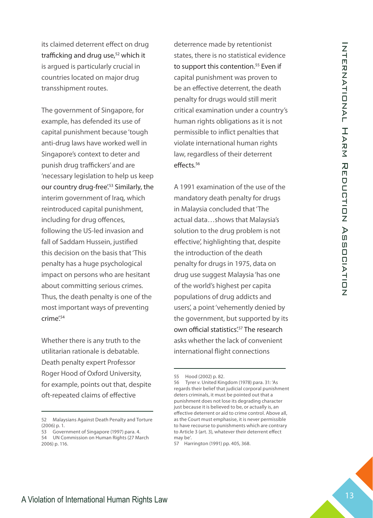its claimed deterrent effect on drug trafficking and drug use,<sup>52</sup> which it is argued is particularly crucial in countries located on major drug transshipment routes.

**The California of the Drug Offering The California Harm Reduction Schemes and Experimental Penalth California Theoretical Human Rights Law 12 Internation of Internation California Human Rights Control of The California H** The government of Singapore, for example, has defended its use of capital punishment because 'tough anti-drug laws have worked well in Singapore's context to deter and punish drug traffickers' and are 'necessary legislation to help us keep our country drug-free'.<sup>53</sup> Similarly, the interim government of Iraq, which reintroduced capital punishment, including for drug offences, following the US-led invasion and fall of Saddam Hussein, justified this decision on the basis that 'This penalty has a huge psychological impact on persons who are hesitant about committing serious crimes. Thus, the death penalty is one of the most important ways of preventing crime'.54

Whether there is any truth to the utilitarian rationale is debatable. Death penalty expert Professor Roger Hood of Oxford University, for example, points out that, despite oft-repeated claims of effective

deterrence made by retentionist states, there is no statistical evidence to support this contention.<sup>55</sup> Even if capital punishment was proven to be an effective deterrent, the death penalty for drugs would still merit critical examination under a country's human rights obligations as it is not permissible to inflict penalties that violate international human rights law, regardless of their deterrent effects.<sup>56</sup>

A 1991 examination of the use of the mandatory death penalty for drugs in Malaysia concluded that 'The actual data…shows that Malaysia's solution to the drug problem is not effective', highlighting that, despite the introduction of the death penalty for drugs in 1975, data on drug use suggest Malaysia 'has one of the world's highest per capita populations of drug addicts and users', a point 'vehemently denied by the government, but supported by its own official statistics<sup>'57</sup> The research asks whether the lack of convenient international flight connections

<sup>52</sup> Malaysians Against Death Penalty and Torture (2006) p. 1.

<sup>53</sup> Government of Singapore (1997) para. 4. 54 UN Commission on Human Rights (27 March 2006) p. 116.

<sup>55</sup> Hood (2002) p. 82.

<sup>56</sup> Tyrer *v.* United Kingdom (1978) para. 31: 'As regards their belief that judicial corporal punishment deters criminals, it must be pointed out that a punishment does not lose its degrading character just because it is believed to be, or actually is, an effective deterrent or aid to crime control. Above all, as the Court must emphasise, it is never permissible to have recourse to punishments which are contrary to Article 3 (art. 3), whatever their deterrent effect may be'.

<sup>57</sup> Harrington (1991) pp. 405, 368.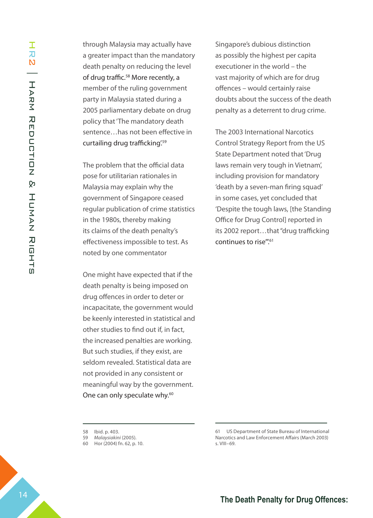through Malaysia may actually have a greater impact than the mandatory death penalty on reducing the level of drug traffic.<sup>58</sup> More recently, a member of the ruling government party in Malaysia stated during a 2005 parliamentary debate on drug policy that 'The mandatory death sentence…has not been effective in curtailing drug trafficking'.<sup>59</sup>

The problem that the official data pose for utilitarian rationales in Malaysia may explain why the government of Singapore ceased regular publication of crime statistics in the 1980s, thereby making its claims of the death penalty's effectiveness impossible to test. As noted by one commentator

One might have expected that if the death penalty is being imposed on drug offences in order to deter or incapacitate, the government would be keenly interested in statistical and other studies to find out if, in fact, the increased penalties are working. But such studies, if they exist, are seldom revealed. Statistical data are not provided in any consistent or meaningful way by the government. One can only speculate why.<sup>60</sup>

Singapore's dubious distinction as possibly the highest per capita executioner in the world – the vast majority of which are for drug offences – would certainly raise doubts about the success of the death penalty as a deterrent to drug crime.

The 2003 International Narcotics Control Strategy Report from the US State Department noted that 'Drug laws remain very tough in Vietnam', including provision for mandatory 'death by a seven-man firing squad' in some cases, yet concluded that 'Despite the tough laws, [the Standing Office for Drug Control] reported in its 2002 report…that "drug trafficking continues to rise".<sup>61</sup>

<sup>58</sup> Ibid. p. 403.

<sup>59</sup> *Malaysiakini* (2005).

<sup>60</sup> Hor (2004) fn. 62, p. 10.

<sup>61</sup> US Department of State Bureau of International Narcotics and Law Enforcement Affairs (March 2003) s. VIII–69.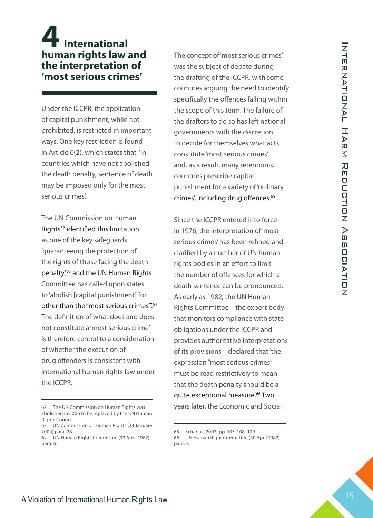# **4 International human rights law and the interpretation of 'most serious crimes'**

Under the ICCPR, the application of capital punishment, while not prohibited, is restricted in important ways. One key restriction is found in Article 6(2), which states that, 'In countries which have not abolished the death penalty, sentence of death may be imposed only for the most serious crimes'.

The UN Commission on Human Rights<sup>62</sup> identified this limitation as one of the key safeguards 'guaranteeing the protection of the rights of those facing the death penalty',<sup>63</sup> and the UN Human Rights Committee has called upon states to 'abolish [capital punishment] for other than the "most serious crimes".<sup>64</sup> The definition of what does and does not constitute a 'most serious crime' is therefore central to a consideration of whether the execution of drug offenders is consistent with international human rights law under the ICCPR.

The concept of 'most serious crimes' was the subject of debate during the drafting of the ICCPR, with some countries arguing the need to identify specifically the offences falling within the scope of this term. The failure of the drafters to do so has left national governments with the discretion to decide for themselves what acts constitute 'most serious crimes' and, as a result, many retentionist countries prescribe capital punishment for a variety of 'ordinary crimes', including drug offences.<sup>65</sup>

**The Death Penalty for the state of the Death Penalty for Drug Offences:**  $\frac{2}{3}$ **<br>
<b>The Death Penalty of Internation of The CPR, the system and the LCPR, when some control the LCPR, the application of the deaths to do to** Since the ICCPR entered into force in 1976, the interpretation of 'most serious crimes' has been refined and clarified by a number of UN human rights bodies in an effort to limit the number of offences for which a death sentence can be pronounced. As early as 1982, the UN Human Rights Committee – the expert body that monitors compliance with state obligations under the ICCPR and provides authoritative interpretations of its provisions – declared that 'the expression "most serious crimes" must be read restrictively to mean that the death penalty should be a quite exceptional measure<sup>'.66</sup> Two years later, the Economic and Social

<sup>62</sup> The UN Commission on Human Rights was abolished in 2006 to be replaced by the UN Human Rights Council.

<sup>63</sup> UN Commission on Human Rights (23 January 2004) para. 28.

<sup>64</sup> UN Human Rights Committee (30 April 1982) para. 6.

<sup>65</sup> Schabas (2002) pp. 105, 108–109.

<sup>66</sup> UN Human Right Committee (30 April 1982) para. 7.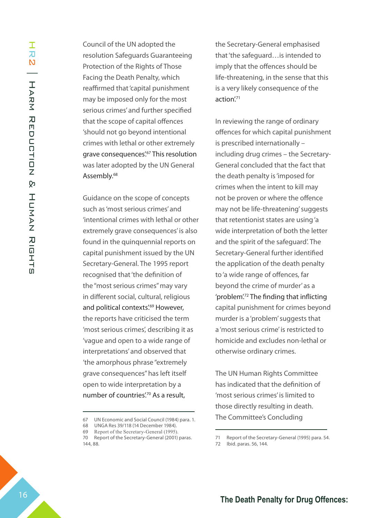Council of the UN adopted the resolution Safeguards Guaranteeing Protection of the Rights of Those Facing the Death Penalty, which reaffirmed that 'capital punishment may be imposed only for the most serious crimes' and further specified that the scope of capital offences 'should not go beyond intentional crimes with lethal or other extremely grave consequences'.<sup>67</sup> This resolution was later adopted by the UN General Assembly.<sup>68</sup>

Guidance on the scope of concepts such as 'most serious crimes' and 'intentional crimes with lethal or other extremely grave consequences' is also found in the quinquennial reports on capital punishment issued by the UN Secretary-General. The 1995 report recognised that 'the definition of the "most serious crimes" may vary in different social, cultural, religious and political contexts'.<sup>69</sup> However, the reports have criticised the term 'most serious crimes', describing it as 'vague and open to a wide range of interpretations' and observed that 'the amorphous phrase "extremely grave consequences" has left itself open to wide interpretation by a number of countries'.<sup>70</sup> As a result,

the Secretary-General emphasised that 'the safeguard…is intended to imply that the offences should be life-threatening, in the sense that this is a very likely consequence of the action<sup>'71</sup>

In reviewing the range of ordinary offences for which capital punishment is prescribed internationally – including drug crimes – the Secretary-General concluded that the fact that the death penalty is 'imposed for crimes when the intent to kill may not be proven or where the offence may not be life-threatening' suggests that retentionist states are using 'a wide interpretation of both the letter and the spirit of the safeguard'. The Secretary-General further identified the application of the death penalty to 'a wide range of offences, far beyond the crime of murder' as a 'problem'.72 The finding that inflicting capital punishment for crimes beyond murder is a 'problem' suggests that a 'most serious crime' is restricted to homicide and excludes non-lethal or otherwise ordinary crimes.

The UN Human Rights Committee has indicated that the definition of 'most serious crimes' is limited to those directly resulting in death. The Committee's Concluding

<sup>67</sup> UN Economic and Social Council (1984) para. 1.

<sup>68</sup> UNGA Res 39/118 (14 December 1984).

<sup>69</sup> Report of the Secretary-General (1995).

<sup>70</sup> Report of the Secretary-General (2001) paras. 144, 88.

<sup>71</sup> Report of the Secretary-General (1995) para. 54.

<sup>72</sup> Ibid. paras. 56, 144.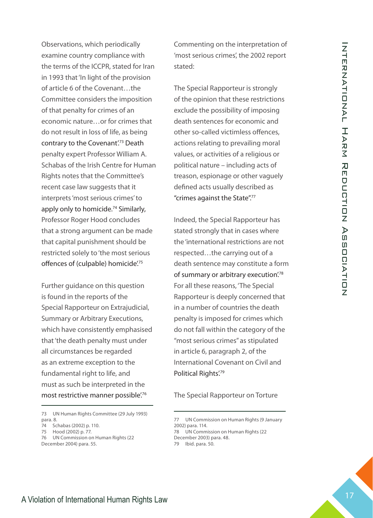**Death Penalty Constrained The Death Constrained The Death Penalty Constrained The Tens of the Center of the Death Constrained The Tens of The Special Rapporterior is a strong of the Center of the Center of the Center of** Observations, which periodically examine country compliance with the terms of the ICCPR, stated for Iran in 1993 that 'In light of the provision of article 6 of the Covenant…the Committee considers the imposition of that penalty for crimes of an economic nature…or for crimes that do not result in loss of life, as being contrary to the Covenant'.<sup>73</sup> Death penalty expert Professor William A. Schabas of the Irish Centre for Human Rights notes that the Committee's recent case law suggests that it interprets 'most serious crimes' to apply only to homicide.<sup>74</sup> Similarly, Professor Roger Hood concludes that a strong argument can be made that capital punishment should be restricted solely to 'the most serious offences of (culpable) homicide.<sup>75</sup>

Further guidance on this question is found in the reports of the Special Rapporteur on Extrajudicial, Summary or Arbitrary Executions, which have consistently emphasised that 'the death penalty must under all circumstances be regarded as an extreme exception to the fundamental right to life, and must as such be interpreted in the most restrictive manner possible.<sup>76</sup>

Commenting on the interpretation of 'most serious crimes', the 2002 report stated:

The Special Rapporteur is strongly of the opinion that these restrictions exclude the possibility of imposing death sentences for economic and other so-called victimless offences, actions relating to prevailing moral values, or activities of a religious or political nature – including acts of treason, espionage or other vaguely defined acts usually described as "crimes against the State".77

Indeed, the Special Rapporteur has stated strongly that in cases where the 'international restrictions are not respected...the carrying out of a death sentence may constitute a form of summary or arbitrary execution.<sup>78</sup> For all these reasons, 'The Special Rapporteur is deeply concerned that in a number of countries the death penalty is imposed for crimes which do not fall within the category of the "most serious crimes" as stipulated in article 6, paragraph 2, of the International Covenant on Civil and Political Rights'.<sup>79</sup>

The Special Rapporteur on Torture

<sup>73</sup> UN Human Rights Committee (29 July 1993) para. 8.

<sup>74</sup> Schabas (2002) p. 110.

<sup>75</sup> Hood (2002) p. 77.

<sup>76</sup> UN Commission on Human Rights (22 December 2004) para. 55.

<sup>77</sup> UN Commission on Human Rights (9 January 2002) para. 114. 78 UN Commission on Human Rights (22

December 2003) para. 48. 79 Ibid. para. 50.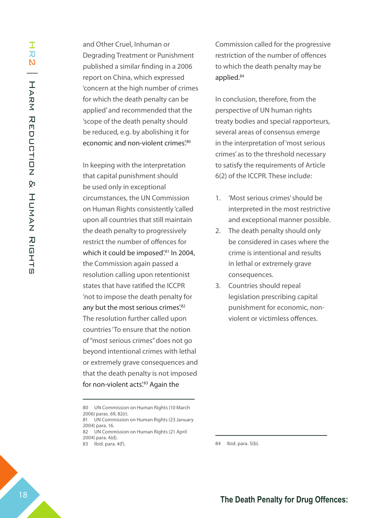and Other Cruel, Inhuman or Degrading Treatment or Punishment published a similar finding in a 2006 report on China, which expressed 'concern at the high number of crimes for which the death penalty can be applied' and recommended that the 'scope of the death penalty should be reduced, e.g. by abolishing it for economic and non-violent crimes.<sup>80</sup>

In keeping with the interpretation that capital punishment should be used only in exceptional circumstances, the UN Commission on Human Rights consistently 'called upon all countries that still maintain the death penalty to progressively restrict the number of offences for which it could be imposed'.<sup>81</sup> In 2004, the Commission again passed a resolution calling upon retentionist states that have ratified the ICCPR 'not to impose the death penalty for any but the most serious crimes.<sup>82</sup> The resolution further called upon countries 'To ensure that the notion of "most serious crimes" does not go beyond intentional crimes with lethal or extremely grave consequences and that the death penalty is not imposed for non-violent acts'.<sup>83</sup> Again the

Commission called for the progressive restriction of the number of offences to which the death penalty may be applied.<sup>84</sup>

In conclusion, therefore, from the perspective of UN human rights treaty bodies and special rapporteurs, several areas of consensus emerge in the interpretation of 'most serious crimes' as to the threshold necessary to satisfy the requirements of Article 6(2) of the ICCPR. These include:

- 'Most serious crimes' should be interpreted in the most restrictive and exceptional manner possible. 1.
- The death penalty should only be considered in cases where the crime is intentional and results in lethal or extremely grave consequences. 2.
- 3. Countries should repeal legislation prescribing capital punishment for economic, nonviolent or victimless offences.

84 Ibid. para. 5(b).

<sup>80</sup> UN Commission on Human Rights (10 March 2006) paras. 69, 82(r).

<sup>81</sup> UN Commission on Human Rights (23 January 2004) para. 16.

<sup>82</sup> UN Commission on Human Rights (21 April 2004) para. 4(d).

<sup>83</sup> Ibid. para. 4(f).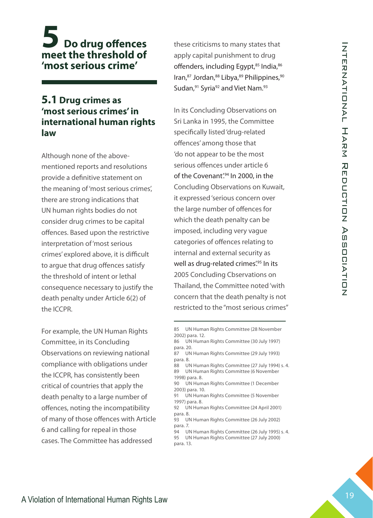# **5 Do drug offences meet the threshold of 'most serious crime'**

## **5.1 Drug crimes as 'most serious crimes' in international human rights law**

Although none of the abovementioned reports and resolutions provide a definitive statement on the meaning of 'most serious crimes', there are strong indications that UN human rights bodies do not consider drug crimes to be capital offences. Based upon the restrictive interpretation of 'most serious crimes' explored above, it is difficult to argue that drug offences satisfy the threshold of intent or lethal consequence necessary to justify the death penalty under Article 6(2) of the ICCPR.

For example, the UN Human Rights Committee, in its Concluding Observations on reviewing national compliance with obligations under the ICCPR, has consistently been critical of countries that apply the death penalty to a large number of offences, noting the incompatibility of many of those offences with Article 6 and calling for repeal in those cases. The Committee has addressed

these criticisms to many states that apply capital punishment to drug offenders, including Egypt,<sup>85</sup> India, 86 Iran,<sup>87</sup> Jordan,<sup>88</sup> Libya,<sup>89</sup> Philippines,<sup>90</sup> Sudan,<sup>91</sup> Syria<sup>92</sup> and Viet Nam.<sup>93</sup>

**The Death Penalty of The Containing Constraining Constraine Constraine Constraine Constraine Constraine Constraine Constraine Constraine Constraine Constraine Constraine Constraine Constraine Constraine Constraine Constr** In its Concluding Observations on Sri Lanka in 1995, the Committee specifically listed 'drug-related offences' among those that 'do not appear to be the most serious offences under article 6 of the Covenant'.<sup>94</sup> In 2000, in the Concluding Observations on Kuwait, it expressed 'serious concern over the large number of offences for which the death penalty can be imposed, including very vague categories of offences relating to internal and external security as well as drug-related crimes.<sup>495</sup> In its 2005 Concluding Cbservations on Thailand, the Committee noted 'with concern that the death penalty is not restricted to the "most serious crimes"

- 85 UN Human Rights Committee (28 November 2002) para. 12.
- 86 UN Human Rights Committee (30 July 1997) para. 20.
- 87 UN Human Rights Committee (29 July 1993) para. 8.
- 88 UN Human Rights Committee (27 July 1994) s. 4. 89 UN Human Rights Committee (6 November 1998) para. 8.
- 90 UN Human Rights Committee (1 December 2003) para. 10.
- 91 UN Human Rights Committee (5 November 1997) para. 8.
- 92 UN Human Rights Committee (24 April 2001) para. 8.
- 93 UN Human Rights Committee (26 July 2002) para. 7.
- 94 UN Human Rights Committee (26 July 1995) s. 4.
- 95 UN Human Rights Committee (27 July 2000) para. 13.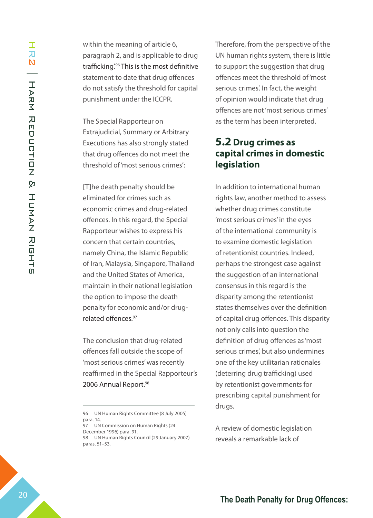within the meaning of article 6, paragraph 2, and is applicable to drug trafficking.<sup>96</sup> This is the most definitive statement to date that drug offences do not satisfy the threshold for capital punishment under the ICCPR.

The Special Rapporteur on Extrajudicial, Summary or Arbitrary Executions has also strongly stated that drug offences do not meet the threshold of 'most serious crimes':

[T]he death penalty should be eliminated for crimes such as economic crimes and drug-related offences. In this regard, the Special Rapporteur wishes to express his concern that certain countries, namely China, the Islamic Republic of Iran, Malaysia, Singapore, Thailand and the United States of America, maintain in their national legislation the option to impose the death penalty for economic and/or drugrelated offences.97

The conclusion that drug-related offences fall outside the scope of 'most serious crimes' was recently reaffirmed in the Special Rapporteur's 2006 Annual Report.<sup>98</sup>

97 UN Commission on Human Rights (24 December 1996) para. 91. 98 UN Human Rights Council (29 January 2007)

paras. 51–53.

Therefore, from the perspective of the UN human rights system, there is little to support the suggestion that drug offences meet the threshold of 'most serious crimes'. In fact, the weight of opinion would indicate that drug offences are not 'most serious crimes' as the term has been interpreted.

## **5.2 Drug crimes as capital crimes in domestic legislation**

In addition to international human rights law, another method to assess whether drug crimes constitute 'most serious crimes' in the eyes of the international community is to examine domestic legislation of retentionist countries. Indeed, perhaps the strongest case against the suggestion of an international consensus in this regard is the disparity among the retentionist states themselves over the definition of capital drug offences. This disparity not only calls into question the definition of drug offences as 'most serious crimes', but also undermines one of the key utilitarian rationales (deterring drug trafficking) used by retentionist governments for prescribing capital punishment for drugs.

A review of domestic legislation reveals a remarkable lack of

<sup>96</sup> UN Human Rights Committee (8 July 2005) para. 14.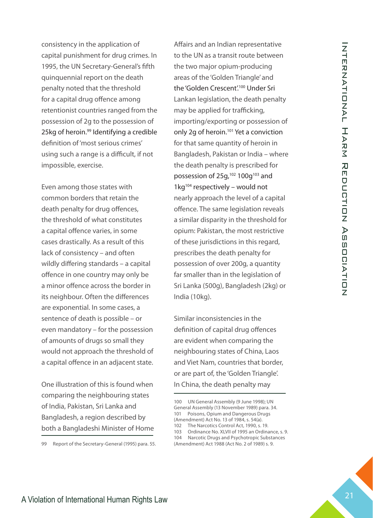consistency in the application of capital punishment for drug crimes. In 1995, the UN Secretary-General's fifth quinquennial report on the death penalty noted that the threshold for a capital drug offence among retentionist countries ranged from the possession of 2g to the possession of 25kg of heroin.99 Identifying a credible definition of 'most serious crimes' using such a range is a difficult, if not impossible, exercise.

Even among those states with common borders that retain the death penalty for drug offences, the threshold of what constitutes a capital offence varies, in some cases drastically. As a result of this lack of consistency – and often wildly differing standards – a capital offence in one country may only be a minor offence across the border in its neighbour. Often the differences are exponential. In some cases, a sentence of death is possible – or even mandatory – for the possession of amounts of drugs so small they would not approach the threshold of a capital offence in an adjacent state.

One illustration of this is found when comparing the neighbouring states of India, Pakistan, Sri Lanka and Bangladesh, a region described by both a Bangladeshi Minister of Home

99 Report of the Secretary-General (1995) para. 55.

**The Above Constrainers** and the three two major constrained the and the transfer and the transfer and the components of the Color Theorem Constrainers are the Color Theorem Constrainers of the Color Theorem Constrainers a Affairs and an Indian representative to the UN as a transit route between the two major opium-producing areas of the 'Golden Triangle' and the 'Golden Crescent'.<sup>100</sup> Under Sri Lankan legislation, the death penalty may be applied for trafficking, importing/exporting or possession of only 2g of heroin.<sup>101</sup> Yet a conviction for that same quantity of heroin in Bangladesh, Pakistan or India – where the death penalty is prescribed for possession of 25g,<sup>102</sup> 100g<sup>103</sup> and  $1$ kg<sup>104</sup> respectively – would not nearly approach the level of a capital offence. The same legislation reveals a similar disparity in the threshold for opium: Pakistan, the most restrictive of these jurisdictions in this regard, prescribes the death penalty for possession of over 200g, a quantity far smaller than in the legislation of Sri Lanka (500g), Bangladesh (2kg) or India (10kg).

Similar inconsistencies in the definition of capital drug offences are evident when comparing the neighbouring states of China, Laos and Viet Nam, countries that border, or are part of, the 'Golden Triangle'. In China, the death penalty may

<sup>100</sup> UN General Assembly (9 June 1998); UN General Assembly (13 November 1989) para. 34. 101 Poisons, Opium and Dangerous Drugs (Amendment) Act No. 13 of 1984, s. 54(a). 102 The Narcotics Control Act, 1990, s. 19.

<sup>103</sup> Ordinance No. XLVII of 1995 an Ordinance, s. 9.

<sup>104</sup> Narcotic Drugs and Psychotropic Substances

<sup>(</sup>Amendment) Act 1988 (Act No. 2 of 1989) s. 9.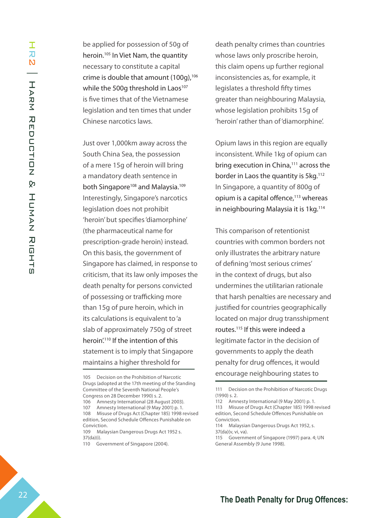be applied for possession of 50g of heroin.105 In Viet Nam, the quantity necessary to constitute a capital crime is double that amount  $(100q)$ ,<sup>106</sup> while the 500g threshold in Laos<sup>107</sup> is five times that of the Vietnamese legislation and ten times that under Chinese narcotics laws.

Just over 1,000km away across the South China Sea, the possession of a mere 15g of heroin will bring a mandatory death sentence in both Singapore<sup>108</sup> and Malaysia.<sup>109</sup> Interestingly, Singapore's narcotics legislation does not prohibit 'heroin' but specifies 'diamorphine' (the pharmaceutical name for prescription-grade heroin) instead. On this basis, the government of Singapore has claimed, in response to criticism, that its law only imposes the death penalty for persons convicted of possessing or trafficking more than 15g of pure heroin, which in its calculations is equivalent to 'a slab of approximately 750g of street heroin.<sup>110</sup> If the intention of this statement is to imply that Singapore maintains a higher threshold for

death penalty crimes than countries whose laws only proscribe heroin, this claim opens up further regional inconsistencies as, for example, it legislates a threshold fifty times greater than neighbouring Malaysia, whose legislation prohibits 15g of 'heroin' rather than of 'diamorphine'.

Opium laws in this region are equally inconsistent. While 1kg of opium can bring execution in China,<sup>111</sup> across the border in Laos the quantity is 5kg.<sup>112</sup> In Singapore, a quantity of 800g of opium is a capital offence, $113$  whereas in neighbouring Malaysia it is 1kg.<sup>114</sup>

This comparison of retentionist countries with common borders not only illustrates the arbitrary nature of defining 'most serious crimes' in the context of drugs, but also undermines the utilitarian rationale that harsh penalties are necessary and justified for countries geographically located on major drug transshipment routes.115 If this were indeed a legitimate factor in the decision of governments to apply the death penalty for drug offences, it would encourage neighbouring states to

<sup>105</sup> Decision on the Prohibition of Narcotic Drugs (adopted at the 17th meeting of the Standing Committee of the Seventh National People's Congress on 28 December 1990) s. 2.

<sup>106</sup> Amnesty International (28 August 2003).

Amnesty International (9 May 2001) p. 1.

<sup>108</sup> Misuse of Drugs Act (Chapter 185) 1998 revised edition, Second Schedule Offences Punishable on Conviction.

<sup>109</sup> Malaysian Dangerous Drugs Act 1952 s. 37(da)(i).

<sup>110</sup> Government of Singapore (2004).

<sup>111</sup> Decision on the Prohibition of Narcotic Drugs (1990) s. 2.

<sup>112</sup> Amnesty International (9 May 2001) p. 1. 113 Misuse of Drugs Act (Chapter 185) 1998 revised edition, Second Schedule Offences Punishable on Conviction.

<sup>114</sup> Malaysian Dangerous Drugs Act 1952, s. 37(da)(v, vi, va).

<sup>115</sup> Government of Singapore (1997) para. 4; UN General Assembly (9 June 1998).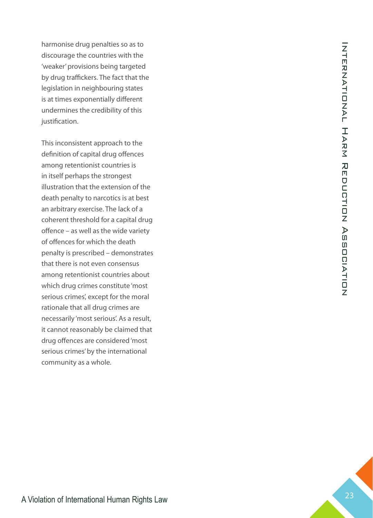harmonise drug penalties so as to discourage the countries with the 'weaker' provisions being targeted by drug traffickers. The fact that the legislation in neighbouring states is at times exponentially different undermines the credibility of this justification.

This inconsistent approach to the definition of capital drug offences among retentionist countries is in itself perhaps the strongest illustration that the extension of the death penalty to narcotics is at best an arbitrary exercise. The lack of a coherent threshold for a capital drug offence – as well as the wide variety of offences for which the death penalty is prescribed – demonstrates that there is not even consensus among retentionist countries about which drug crimes constitute 'most serious crimes', except for the moral rationale that all drug crimes are necessarily 'most serious'. As a result, it cannot reasonably be claimed that drug offences are considered 'most serious crimes' by the international community as a whole.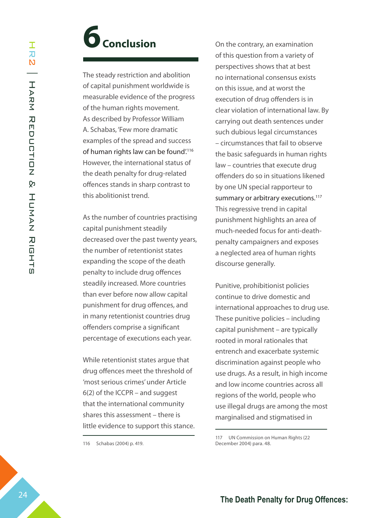# **6 Conclusion**

The steady restriction and abolition of capital punishment worldwide is measurable evidence of the progress of the human rights movement. As described by Professor William A. Schabas, 'Few more dramatic examples of the spread and success of human rights law can be found'.<sup>116</sup> However, the international status of the death penalty for drug-related offences stands in sharp contrast to this abolitionist trend.

As the number of countries practising capital punishment steadily decreased over the past twenty years, the number of retentionist states expanding the scope of the death penalty to include drug offences steadily increased. More countries than ever before now allow capital punishment for drug offences, and in many retentionist countries drug offenders comprise a significant percentage of executions each year.

While retentionist states argue that drug offences meet the threshold of 'most serious crimes' under Article 6(2) of the ICCPR – and suggest that the international community shares this assessment – there is little evidence to support this stance.

116 Schabas (2004) p. 419.

On the contrary, an examination of this question from a variety of perspectives shows that at best no international consensus exists on this issue, and at worst the execution of drug offenders is in clear violation of international law. By carrying out death sentences under such dubious legal circumstances – circumstances that fail to observe the basic safeguards in human rights law – countries that execute drug offenders do so in situations likened by one UN special rapporteur to summary or arbitrary executions.<sup>117</sup> This regressive trend in capital punishment highlights an area of much-needed focus for anti-deathpenalty campaigners and exposes a neglected area of human rights discourse generally.

Punitive, prohibitionist policies continue to drive domestic and international approaches to drug use. These punitive policies – including capital punishment – are typically rooted in moral rationales that entrench and exacerbate systemic discrimination against people who use drugs. As a result, in high income and low income countries across all regions of the world, people who use illegal drugs are among the most marginalised and stigmatised in

<sup>117</sup> UN Commission on Human Rights (22 December 2004) para. 48.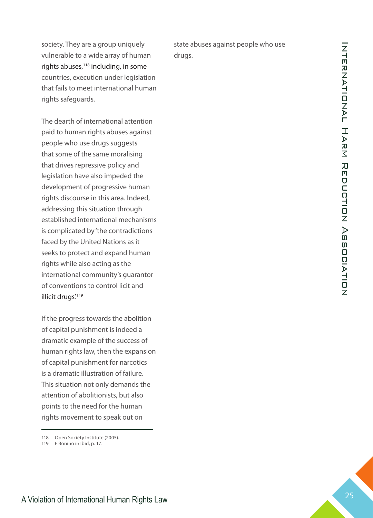society. They are a group uniquely vulnerable to a wide array of human rights abuses,<sup>118</sup> including, in some countries, execution under legislation that fails to meet international human rights safeguards.

**The Death Penalty of The Penalty of International Human Rights Law 25 International Human Rights Law 25 International Human Rights Law 25 International Human Rights Law 25 International Human Rights Law 25 International** The dearth of international attention paid to human rights abuses against people who use drugs suggests that some of the same moralising that drives repressive policy and legislation have also impeded the development of progressive human rights discourse in this area. Indeed, addressing this situation through established international mechanisms is complicated by 'the contradictions faced by the United Nations as it seeks to protect and expand human rights while also acting as the international community's guarantor of conventions to control licit and illicit drugs'.<sup>119</sup>

If the progress towards the abolition of capital punishment is indeed a dramatic example of the success of human rights law, then the expansion of capital punishment for narcotics is a dramatic illustration of failure. This situation not only demands the attention of abolitionists, but also points to the need for the human rights movement to speak out on

state abuses against people who use drugs.

<sup>118</sup> Open Society Institute (2005).

<sup>119</sup> E Bonino in Ibid, p. 17.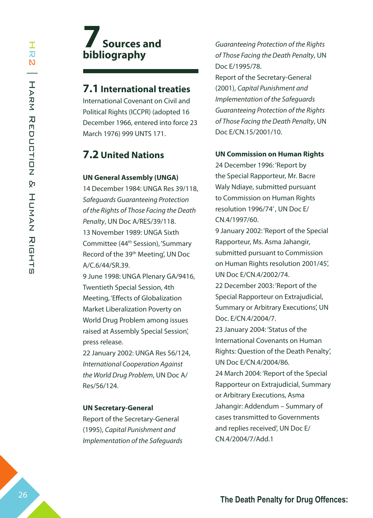# **7 Sources and bibliography**

#### **7.1 International treaties**

International Covenant on Civil and Political Rights (ICCPR) (adopted 16 December 1966, entered into force 23 March 1976) 999 UNTS 171.

## **7.2 United Nations**

#### **UN General Assembly (UNGA)**

14 December 1984: UNGA Res 39/118, *Safeguards Guaranteeing Protection of the Rights of Those Facing the Death Penalty*, UN Doc A/RES/39/118. 13 November 1989: UNGA Sixth Committee (44th Session), 'Summary Record of the 39th Meeting', UN Doc A/C.6/44/SR.39.

9 June 1998: UNGA Plenary GA/9416, Twentieth Special Session, 4th Meeting, 'Effects of Globalization Market Liberalization Poverty on World Drug Problem among issues raised at Assembly Special Session', press release.

22 January 2002: UNGA Res 56/124, *International Cooperation Against the World Drug Problem*, UN Doc A/ Res/56/124.

#### **UN Secretary-General**

Report of the Secretary-General (1995), *Capital Punishment and Implementation of the Safeguards*  *Guaranteeing Protection of the Rights of Those Facing the Death Penalty*, UN Doc E/1995/78.

Report of the Secretary-General (2001), *Capital Punishment and Implementation of the Safeguards Guaranteeing Protection of the Rights of Those Facing the Death Penalty*, UN Doc E/CN.15/2001/10.

#### **UN Commission on Human Rights**

24 December 1996: 'Report by the Special Rapporteur, Mr. Bacre Waly Ndiaye, submitted pursuant to Commission on Human Rights resolution 1996/74' , UN Doc E/ CN.4/1997/60.

9 January 2002: 'Report of the Special Rapporteur, Ms. Asma Jahangir, submitted pursuant to Commission on Human Rights resolution 2001/45', UN Doc E/CN.4/2002/74.

22 December 2003: 'Report of the Special Rapporteur on Extrajudicial, Summary or Arbitrary Executions', UN Doc. E/CN.4/2004/7.

23 January 2004: 'Status of the International Covenants on Human Rights: Question of the Death Penalty', UN Doc E/CN.4/2004/86.

24 March 2004: 'Report of the Special Rapporteur on Extrajudicial, Summary or Arbitrary Executions, Asma Jahangir: Addendum – Summary of cases transmitted to Governments and replies received', UN Doc E/ CN.4/2004/7/Add.1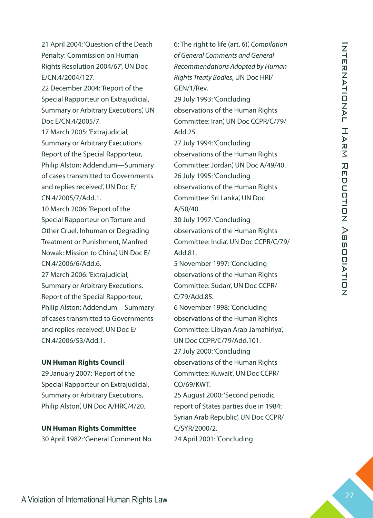21 April 2004: 'Question of the Death Penalty: Commission on Human Rights Resolution 2004/67', UN Doc E/CN.4/2004/127.

22 December 2004: 'Report of the Special Rapporteur on Extrajudicial, Summary or Arbitrary Executions', UN Doc E/CN.4/2005/7.

**The The Penalty Commission of The Penalty Commission of International Association Zopher Dress Commission Association 2014<br>
Frequences:**  $\frac{1}{2}$  **Death Penalty Commission Association 2010<br>
Frequences:**  $\frac{1}{2}$  **Death Pen** 17 March 2005: 'Extrajudicial, Summary or Arbitrary Executions Report of the Special Rapporteur, Philip Alston: Addendum—Summary of cases transmitted to Governments and replies received', UN Doc E/ CN.4/2005/7/Add.1.

10 March 2006: 'Report of the Special Rapporteur on Torture and Other Cruel, Inhuman or Degrading Treatment or Punishment, Manfred Nowak: Mission to China', UN Doc E/ CN.4/2006/6/Add.6.

27 March 2006: 'Extrajudicial, Summary or Arbitrary Executions. Report of the Special Rapporteur, Philip Alston: Addendum—Summary of cases transmitted to Governments and replies received', UN Doc E/ CN.4/2006/53/Add.1.

#### **UN Human Rights Council**

29 January 2007: 'Report of the Special Rapporteur on Extrajudicial, Summary or Arbitrary Executions, Philip Alston', UN Doc A/HRC/4/20.

# **UN Human Rights Committee**

30 April 1982: 'General Comment No.

6: The right to life (art. 6)', *Compilation of General Comments and General Recommendations Adopted by Human Rights Treaty Bodies*, UN Doc HRI/ GEN/1/Rev.

29 July 1993: 'Concluding observations of the Human Rights Committee: Iran', UN Doc CCPR/C/79/ Add.25.

27 July 1994: 'Concluding observations of the Human Rights Committee: Jordan', UN Doc A/49/40. 26 July 1995: 'Concluding observations of the Human Rights Committee: Sri Lanka', UN Doc A/50/40.

30 July 1997: 'Concluding observations of the Human Rights Committee: India', UN Doc CCPR/C/79/ Add.81.

5 November 1997: 'Concluding observations of the Human Rights Committee: Sudan', UN Doc CCPR/ C/79/Add.85.

6 November 1998: 'Concluding observations of the Human Rights Committee: Libyan Arab Jamahiriya', UN Doc CCPR/C/79/Add.101. 27 July 2000: 'Concluding

observations of the Human Rights Committee: Kuwait', UN Doc CCPR/ CO/69/KWT.

25 August 2000: 'Second periodic report of States parties due in 1984: Syrian Arab Republic', UN Doc CCPR/ C/SYR/2000/2.

24 April 2001: 'Concluding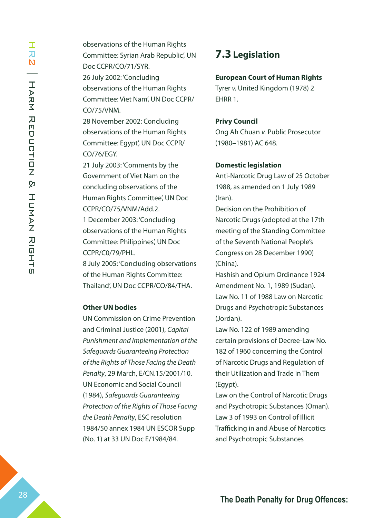observations of the Human Rights Committee: Syrian Arab Republic', UN Doc CCPR/CO/71/SYR. 26 July 2002: 'Concluding observations of the Human Rights Committee: Viet Nam', UN Doc CCPR/ CO/75/VNM.

28 November 2002: Concluding observations of the Human Rights Committee: Egypt', UN Doc CCPR/ CO/76/EGY.

21 July 2003: 'Comments by the Government of Viet Nam on the concluding observations of the Human Rights Committee', UN Doc CCPR/CO/75/VNM/Add.2.

1 December 2003: 'Concluding observations of the Human Rights Committee: Philippines', UN Doc CCPR/C0/79/PHL.

8 July 2005: 'Concluding observations of the Human Rights Committee: Thailand', UN Doc CCPR/CO/84/THA.

#### **Other UN bodies**

UN Commission on Crime Prevention and Criminal Justice (2001), *Capital Punishment and Implementation of the Safeguards Guaranteeing Protection of the Rights of Those Facing the Death Penalty*, 29 March, E/CN.15/2001/10. UN Economic and Social Council (1984), *Safeguards Guaranteeing Protection of the Rights of Those Facing the Death Penalty*, ESC resolution 1984/50 annex 1984 UN ESCOR Supp (No. 1) at 33 UN Doc E/1984/84.

### **7.3 Legislation**

#### **European Court of Human Rights**

Tyrer *v.* United Kingdom (1978) 2 EHRR 1.

#### **Privy Council**

Ong Ah Chuan *v.* Public Prosecutor (1980–1981) AC 648.

#### **Domestic legislation**

Anti-Narcotic Drug Law of 25 October 1988, as amended on 1 July 1989 (Iran).

Decision on the Prohibition of Narcotic Drugs (adopted at the 17th meeting of the Standing Committee of the Seventh National People's Congress on 28 December 1990) (China).

Hashish and Opium Ordinance 1924 Amendment No. 1, 1989 (Sudan). Law No. 11 of 1988 Law on Narcotic Drugs and Psychotropic Substances (Jordan).

Law No. 122 of 1989 amending certain provisions of Decree-Law No. 182 of 1960 concerning the Control of Narcotic Drugs and Regulation of their Utilization and Trade in Them (Egypt).

Law on the Control of Narcotic Drugs and Psychotropic Substances (Oman). Law 3 of 1993 on Control of Illicit Trafficking in and Abuse of Narcotics and Psychotropic Substances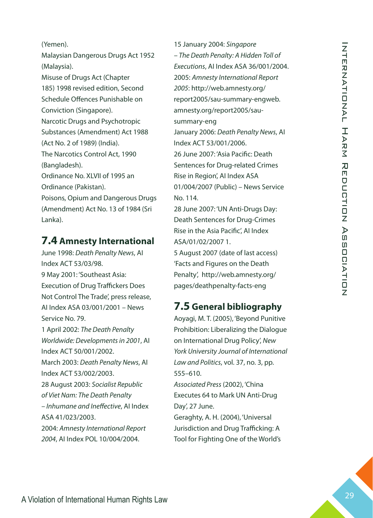(Yemen).

Malaysian Dangerous Drugs Act 1952 (Malaysia).

Misuse of Drugs Act (Chapter 185) 1998 revised edition, Second Schedule Offences Punishable on Conviction (Singapore). Narcotic Drugs and Psychotropic Substances (Amendment) Act 1988 (Act No. 2 of 1989) (India). The Narcotics Control Act, 1990 (Bangladesh). Ordinance No. XLVII of 1995 an Ordinance (Pakistan).

Poisons, Opium and Dangerous Drugs (Amendment) Act No. 13 of 1984 (Sri Lanka).

### **7.4 Amnesty International**

**The Machinest Control of the Drug Offences: A Violation of Control of the Penalty Schedule Control of Aletto Schedule Chemical Human Rights Law 2021-2023, Bending the Reduction Control of Control of Control of Control of** June 1998: *Death Penalty News*, AI Index ACT 53/03/98. 9 May 2001: 'Southeast Asia: Execution of Drug Traffickers Does Not Control The Trade', press release, AI Index ASA 03/001/2001 – News Service No. 79. 1 April 2002: *The Death Penalty Worldwide: Developments in 2001*, AI Index ACT 50/001/2002. March 2003: *Death Penalty News*, AI Index ACT 53/002/2003. 28 August 2003: *Socialist Republic of Viet Nam: The Death Penalty – Inhumane and Ineffective*, AI Index ASA 41/023/2003. 2004: *Amnesty International Report 2004*, AI Index POL 10/004/2004.

15 January 2004: *Singapore – The Death Penalty: A Hidden Toll of Executions*, AI Index ASA 36/001/2004. 2005: *Amnesty International Report 2005*: http://web.amnesty.org/ report2005/sau-summary-engweb. amnesty.org/report2005/sausummary-eng January 2006: *Death Penalty News*, AI Index ACT 53/001/2006. 26 June 2007: 'Asia Pacific: Death Sentences for Drug-related Crimes Rise in Region', AI Index ASA 01/004/2007 (Public) – News Service No. 114. 28 June 2007: 'UN Anti-Drugs Day:

Death Sentences for Drug-Crimes Rise in the Asia Pacific', AI Index ASA/01/02/2007 1.

5 August 2007 (date of last access) 'Facts and Figures on the Death Penalty', http://web.amnesty.org/ pages/deathpenalty-facts-eng

## **7.5 General bibliography**

Aoyagi, M. T. (2005), 'Beyond Punitive Prohibition: Liberalizing the Dialogue on International Drug Policy', *New York University Journal of International Law and Politics*, vol. 37, no. 3, pp. 555–610. *Associated Press* (2002), 'China Executes 64 to Mark UN Anti-Drug

Day', 27 June. Geraghty, A. H. (2004), 'Universal

Jurisdiction and Drug Trafficking: A Tool for Fighting One of the World's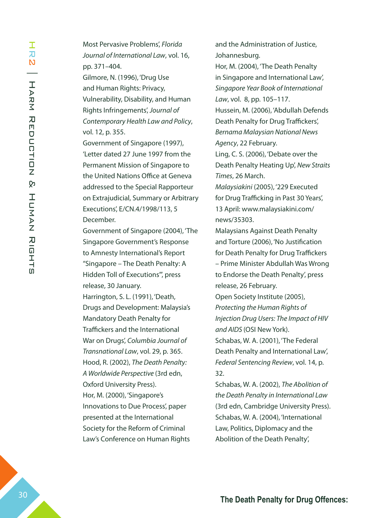Most Pervasive Problems', *Florida Journal of International Law*, vol. 16, pp. 371–404. Gilmore, N. (1996), 'Drug Use and Human Rights: Privacy, Vulnerability, Disability, and Human Rights Infringements', *Journal of Contemporary Health Law and Policy*, vol. 12, p. 355. Government of Singapore (1997), 'Letter dated 27 June 1997 from the Permanent Mission of Singapore to the United Nations Office at Geneva addressed to the Special Rapporteur on Extrajudicial, Summary or Arbitrary Executions', E/CN.4/1998/113, 5 December. Government of Singapore (2004), 'The

Singapore Government's Response to Amnesty International's Report "Singapore – The Death Penalty: A Hidden Toll of Executions"', press release, 30 January.

Harrington, S. L. (1991), 'Death, Drugs and Development: Malaysia's Mandatory Death Penalty for Traffickers and the International War on Drugs', *Columbia Journal of Transnational Law*, vol. 29, p. 365. Hood, R. (2002), *The Death Penalty: A Worldwide Perspective* (3rd edn, Oxford University Press). Hor, M. (2000), 'Singapore's Innovations to Due Process', paper presented at the International Society for the Reform of Criminal Law's Conference on Human Rights

and the Administration of Justice, Johannesburg.

Hor, M. (2004), 'The Death Penalty in Singapore and International Law', *Singapore Year Book of International Law*, vol. 8, pp. 105–117.

Hussein, M. (2006), 'Abdullah Defends Death Penalty for Drug Traffickers', *Bernama Malaysian National News Agency*, 22 February.

Ling, C. S. (2006), 'Debate over the Death Penalty Heating Up', *New Straits Times*, 26 March.

*Malaysiakini* (2005), '229 Executed for Drug Trafficking in Past 30 Years', 13 April: www.malaysiakini.com/ news/35303.

Malaysians Against Death Penalty and Torture (2006), 'No Justification for Death Penalty for Drug Traffickers – Prime Minister Abdullah Was Wrong to Endorse the Death Penalty', press release, 26 February.

Open Society Institute (2005), *Protecting the Human Rights of Injection Drug Users: The Impact of HIV and AIDS* (OSI New York).

Schabas, W. A. (2001), 'The Federal Death Penalty and International Law', *Federal Sentencing Review*, vol. 14, p. 32.

Schabas, W. A. (2002), *The Abolition of the Death Penalty in International Law* (3rd edn, Cambridge University Press). Schabas, W. A. (2004), 'International Law, Politics, Diplomacy and the Abolition of the Death Penalty',